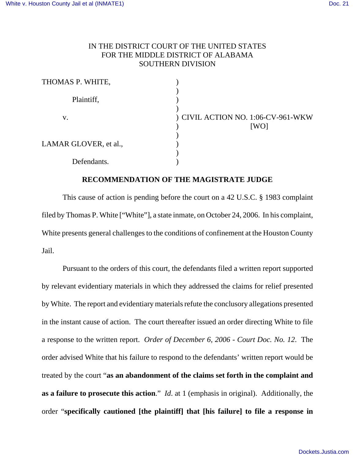## IN THE DISTRICT COURT OF THE UNITED STATES FOR THE MIDDLE DISTRICT OF ALABAMA SOUTHERN DIVISION

| THOMAS P. WHITE,      |                                            |
|-----------------------|--------------------------------------------|
| Plaintiff,            |                                            |
| V.                    | ) CIVIL ACTION NO. 1:06-CV-961-WKW<br>[WO] |
| LAMAR GLOVER, et al., |                                            |
| Defendants.           |                                            |

## **RECOMMENDATION OF THE MAGISTRATE JUDGE**

This cause of action is pending before the court on a 42 U.S.C. § 1983 complaint filed by Thomas P. White ["White"], a state inmate, on October 24, 2006. In his complaint, White presents general challenges to the conditions of confinement at the Houston County Jail.

Pursuant to the orders of this court, the defendants filed a written report supported by relevant evidentiary materials in which they addressed the claims for relief presented by White. The report and evidentiary materials refute the conclusory allegations presented in the instant cause of action. The court thereafter issued an order directing White to file a response to the written report. *Order of December 6, 2006 - Court Doc. No. 12*. The order advised White that his failure to respond to the defendants' written report would be treated by the court "**as an abandonment of the claims set forth in the complaint and as a failure to prosecute this action**." *Id*. at 1 (emphasis in original). Additionally, the order "**specifically cautioned [the plaintiff] that [his failure] to file a response in**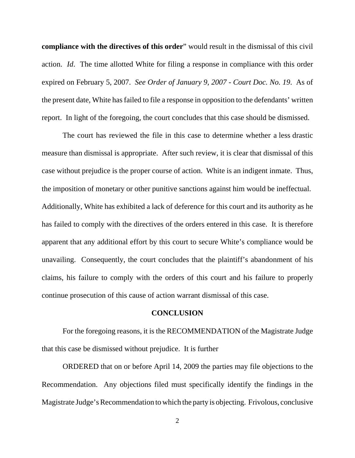**compliance with the directives of this order**" would result in the dismissal of this civil action. *Id*. The time allotted White for filing a response in compliance with this order expired on February 5, 2007. *See Order of January 9, 2007 - Court Doc. No. 19*. As of the present date, White has failed to file a response in opposition to the defendants' written report. In light of the foregoing, the court concludes that this case should be dismissed.

 The court has reviewed the file in this case to determine whether a less drastic measure than dismissal is appropriate. After such review, it is clear that dismissal of this case without prejudice is the proper course of action. White is an indigent inmate. Thus, the imposition of monetary or other punitive sanctions against him would be ineffectual. Additionally, White has exhibited a lack of deference for this court and its authority as he has failed to comply with the directives of the orders entered in this case. It is therefore apparent that any additional effort by this court to secure White's compliance would be unavailing. Consequently, the court concludes that the plaintiff's abandonment of his claims, his failure to comply with the orders of this court and his failure to properly continue prosecution of this cause of action warrant dismissal of this case.

## **CONCLUSION**

For the foregoing reasons, it is the RECOMMENDATION of the Magistrate Judge that this case be dismissed without prejudice. It is further

ORDERED that on or before April 14, 2009 the parties may file objections to the Recommendation. Any objections filed must specifically identify the findings in the Magistrate Judge's Recommendation to which the party is objecting. Frivolous, conclusive